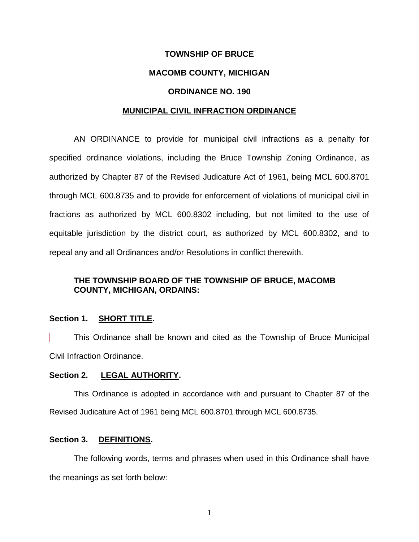## **TOWNSHIP OF BRUCE**

### **MACOMB COUNTY, MICHIGAN**

### **ORDINANCE NO. 190**

#### **MUNICIPAL CIVIL INFRACTION ORDINANCE**

AN ORDINANCE to provide for municipal civil infractions as a penalty for specified ordinance violations, including the Bruce Township Zoning Ordinance, as authorized by Chapter 87 of the Revised Judicature Act of 1961, being MCL 600.8701 through MCL 600.8735 and to provide for enforcement of violations of municipal civil in fractions as authorized by MCL 600.8302 including, but not limited to the use of equitable jurisdiction by the district court, as authorized by MCL 600.8302, and to repeal any and all Ordinances and/or Resolutions in conflict therewith.

## **THE TOWNSHIP BOARD OF THE TOWNSHIP OF BRUCE, MACOMB COUNTY, MICHIGAN, ORDAINS:**

#### **Section 1. SHORT TITLE.**

This Ordinance shall be known and cited as the Township of Bruce Municipal Civil Infraction Ordinance.

#### **Section 2. LEGAL AUTHORITY.**

This Ordinance is adopted in accordance with and pursuant to Chapter 87 of the Revised Judicature Act of 1961 being MCL 600.8701 through MCL 600.8735.

### **Section 3. DEFINITIONS.**

The following words, terms and phrases when used in this Ordinance shall have the meanings as set forth below:

1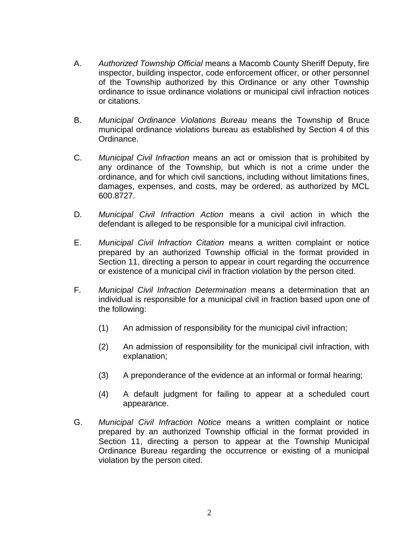- A. *Authorized Township Official* means a Macomb County Sheriff Deputy, fire inspector, building inspector, code enforcement officer, or other personnel of the Township authorized by this Ordinance or any other Township ordinance to issue ordinance violations or municipal civil infraction notices or citations.
- B. *Municipal Ordinance Violations Bureau* means the Township of Bruce municipal ordinance violations bureau as established by Section 4 of this Ordinance.
- C. *Municipal Civil Infraction* means an act or omission that is prohibited by any ordinance of the Township, but which is not a crime under the ordinance, and for which civil sanctions, including without limitations fines, damages, expenses, and costs, may be ordered, as authorized by MCL 600.8727.
- D. *Municipal Civil Infraction Action* means a civil action in which the defendant is alleged to be responsible for a municipal civil infraction.
- E. *Municipal Civil Infraction Citation* means a written complaint or notice prepared by an authorized Township official in the format provided in Section 11, directing a person to appear in court regarding the occurrence or existence of a municipal civil in fraction violation by the person cited.
- F. *Municipal Civil Infraction Determination* means a determination that an individual is responsible for a municipal civil in fraction based upon one of the following:
	- (1) An admission of responsibility for the municipal civil infraction;
	- (2) An admission of responsibility for the municipal civil infraction, with explanation;
	- (3) A preponderance of the evidence at an informal or formal hearing;
	- (4) A default judgment for failing to appear at a scheduled court appearance.
- G. *Municipal Civil Infraction Notice* means a written complaint or notice prepared by an authorized Township official in the format provided in Section 11, directing a person to appear at the Township Municipal Ordinance Bureau regarding the occurrence or existing of a municipal violation by the person cited.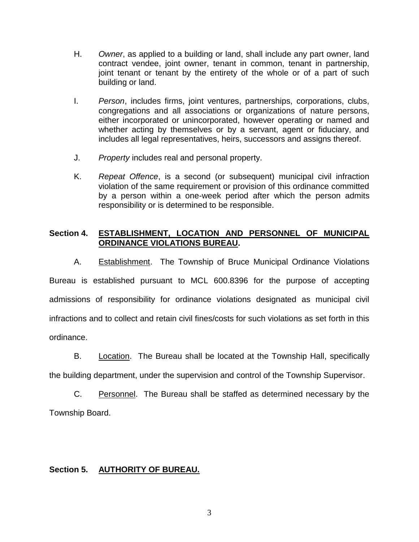- H. *Owner*, as applied to a building or land, shall include any part owner, land contract vendee, joint owner, tenant in common, tenant in partnership, joint tenant or tenant by the entirety of the whole or of a part of such building or land.
- I. *Person*, includes firms, joint ventures, partnerships, corporations, clubs, congregations and all associations or organizations of nature persons, either incorporated or unincorporated, however operating or named and whether acting by themselves or by a servant, agent or fiduciary, and includes all legal representatives, heirs, successors and assigns thereof.
- J. *Property* includes real and personal property.
- K. *Repeat Offence*, is a second (or subsequent) municipal civil infraction violation of the same requirement or provision of this ordinance committed by a person within a one-week period after which the person admits responsibility or is determined to be responsible.

## **Section 4. ESTABLISHMENT, LOCATION AND PERSONNEL OF MUNICIPAL ORDINANCE VIOLATIONS BUREAU.**

A. Establishment. The Township of Bruce Municipal Ordinance Violations Bureau is established pursuant to MCL 600.8396 for the purpose of accepting admissions of responsibility for ordinance violations designated as municipal civil infractions and to collect and retain civil fines/costs for such violations as set forth in this ordinance.

B. Location. The Bureau shall be located at the Township Hall, specifically the building department, under the supervision and control of the Township Supervisor.

C. Personnel. The Bureau shall be staffed as determined necessary by the Township Board.

# **Section 5. AUTHORITY OF BUREAU.**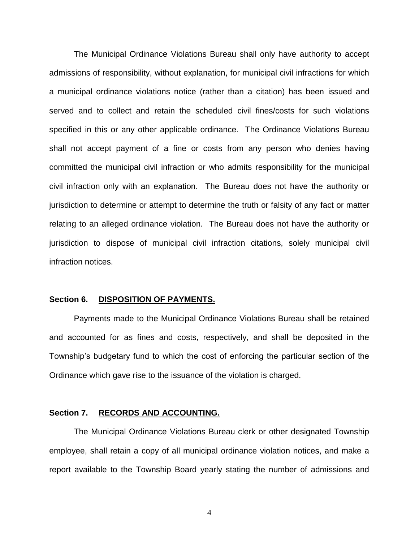The Municipal Ordinance Violations Bureau shall only have authority to accept admissions of responsibility, without explanation, for municipal civil infractions for which a municipal ordinance violations notice (rather than a citation) has been issued and served and to collect and retain the scheduled civil fines/costs for such violations specified in this or any other applicable ordinance. The Ordinance Violations Bureau shall not accept payment of a fine or costs from any person who denies having committed the municipal civil infraction or who admits responsibility for the municipal civil infraction only with an explanation. The Bureau does not have the authority or jurisdiction to determine or attempt to determine the truth or falsity of any fact or matter relating to an alleged ordinance violation. The Bureau does not have the authority or jurisdiction to dispose of municipal civil infraction citations, solely municipal civil infraction notices.

#### **Section 6. DISPOSITION OF PAYMENTS.**

Payments made to the Municipal Ordinance Violations Bureau shall be retained and accounted for as fines and costs, respectively, and shall be deposited in the Township's budgetary fund to which the cost of enforcing the particular section of the Ordinance which gave rise to the issuance of the violation is charged.

#### **Section 7. RECORDS AND ACCOUNTING.**

The Municipal Ordinance Violations Bureau clerk or other designated Township employee, shall retain a copy of all municipal ordinance violation notices, and make a report available to the Township Board yearly stating the number of admissions and

4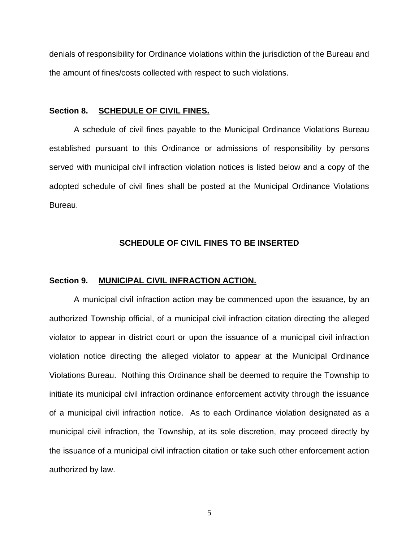denials of responsibility for Ordinance violations within the jurisdiction of the Bureau and the amount of fines/costs collected with respect to such violations.

#### **Section 8. SCHEDULE OF CIVIL FINES.**

A schedule of civil fines payable to the Municipal Ordinance Violations Bureau established pursuant to this Ordinance or admissions of responsibility by persons served with municipal civil infraction violation notices is listed below and a copy of the adopted schedule of civil fines shall be posted at the Municipal Ordinance Violations Bureau.

### **SCHEDULE OF CIVIL FINES TO BE INSERTED**

#### **Section 9. MUNICIPAL CIVIL INFRACTION ACTION.**

A municipal civil infraction action may be commenced upon the issuance, by an authorized Township official, of a municipal civil infraction citation directing the alleged violator to appear in district court or upon the issuance of a municipal civil infraction violation notice directing the alleged violator to appear at the Municipal Ordinance Violations Bureau. Nothing this Ordinance shall be deemed to require the Township to initiate its municipal civil infraction ordinance enforcement activity through the issuance of a municipal civil infraction notice. As to each Ordinance violation designated as a municipal civil infraction, the Township, at its sole discretion, may proceed directly by the issuance of a municipal civil infraction citation or take such other enforcement action authorized by law.

5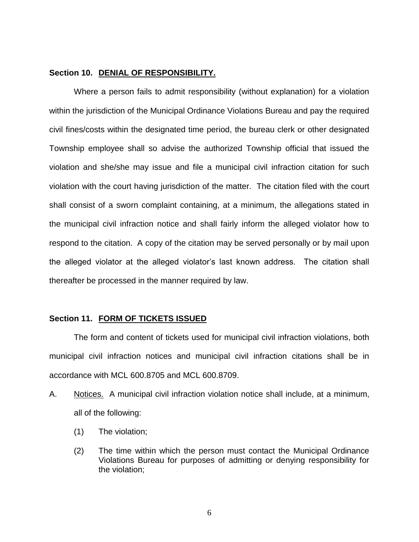### **Section 10. DENIAL OF RESPONSIBILITY.**

Where a person fails to admit responsibility (without explanation) for a violation within the jurisdiction of the Municipal Ordinance Violations Bureau and pay the required civil fines/costs within the designated time period, the bureau clerk or other designated Township employee shall so advise the authorized Township official that issued the violation and she/she may issue and file a municipal civil infraction citation for such violation with the court having jurisdiction of the matter. The citation filed with the court shall consist of a sworn complaint containing, at a minimum, the allegations stated in the municipal civil infraction notice and shall fairly inform the alleged violator how to respond to the citation. A copy of the citation may be served personally or by mail upon the alleged violator at the alleged violator's last known address. The citation shall thereafter be processed in the manner required by law.

#### **Section 11. FORM OF TICKETS ISSUED**

The form and content of tickets used for municipal civil infraction violations, both municipal civil infraction notices and municipal civil infraction citations shall be in accordance with MCL 600.8705 and MCL 600.8709.

- A. Notices. A municipal civil infraction violation notice shall include, at a minimum, all of the following:
	- (1) The violation;
	- (2) The time within which the person must contact the Municipal Ordinance Violations Bureau for purposes of admitting or denying responsibility for the violation;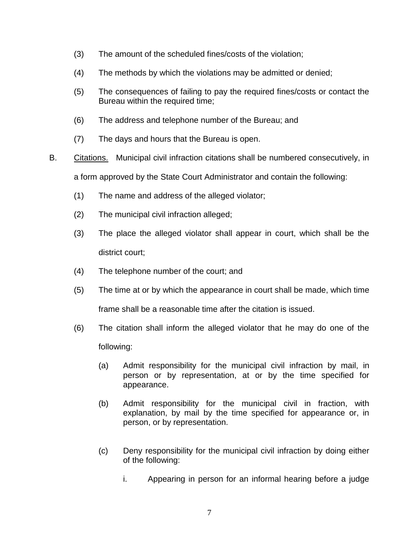- (3) The amount of the scheduled fines/costs of the violation;
- (4) The methods by which the violations may be admitted or denied;
- (5) The consequences of failing to pay the required fines/costs or contact the Bureau within the required time;
- (6) The address and telephone number of the Bureau; and
- (7) The days and hours that the Bureau is open.
- B. Citations. Municipal civil infraction citations shall be numbered consecutively, in a form approved by the State Court Administrator and contain the following:
	- (1) The name and address of the alleged violator;
	- (2) The municipal civil infraction alleged;
	- (3) The place the alleged violator shall appear in court, which shall be the district court;
	- (4) The telephone number of the court; and
	- (5) The time at or by which the appearance in court shall be made, which time frame shall be a reasonable time after the citation is issued.
	- (6) The citation shall inform the alleged violator that he may do one of the following:
		- (a) Admit responsibility for the municipal civil infraction by mail, in person or by representation, at or by the time specified for appearance.
		- (b) Admit responsibility for the municipal civil in fraction, with explanation, by mail by the time specified for appearance or, in person, or by representation.
		- (c) Deny responsibility for the municipal civil infraction by doing either of the following:
			- i. Appearing in person for an informal hearing before a judge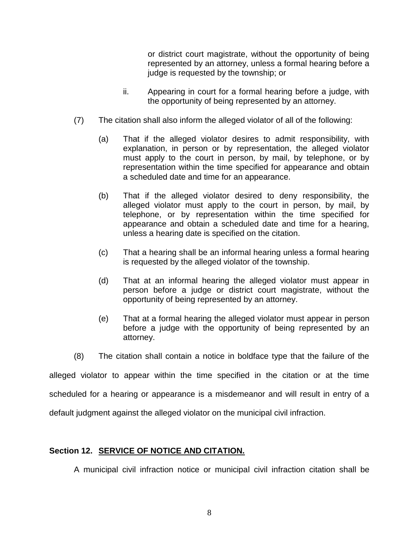or district court magistrate, without the opportunity of being represented by an attorney, unless a formal hearing before a judge is requested by the township; or

- ii. Appearing in court for a formal hearing before a judge, with the opportunity of being represented by an attorney.
- (7) The citation shall also inform the alleged violator of all of the following:
	- (a) That if the alleged violator desires to admit responsibility, with explanation, in person or by representation, the alleged violator must apply to the court in person, by mail, by telephone, or by representation within the time specified for appearance and obtain a scheduled date and time for an appearance.
	- (b) That if the alleged violator desired to deny responsibility, the alleged violator must apply to the court in person, by mail, by telephone, or by representation within the time specified for appearance and obtain a scheduled date and time for a hearing, unless a hearing date is specified on the citation.
	- (c) That a hearing shall be an informal hearing unless a formal hearing is requested by the alleged violator of the township.
	- (d) That at an informal hearing the alleged violator must appear in person before a judge or district court magistrate, without the opportunity of being represented by an attorney.
	- (e) That at a formal hearing the alleged violator must appear in person before a judge with the opportunity of being represented by an attorney.
- (8) The citation shall contain a notice in boldface type that the failure of the

alleged violator to appear within the time specified in the citation or at the time

scheduled for a hearing or appearance is a misdemeanor and will result in entry of a

default judgment against the alleged violator on the municipal civil infraction.

## **Section 12. SERVICE OF NOTICE AND CITATION.**

A municipal civil infraction notice or municipal civil infraction citation shall be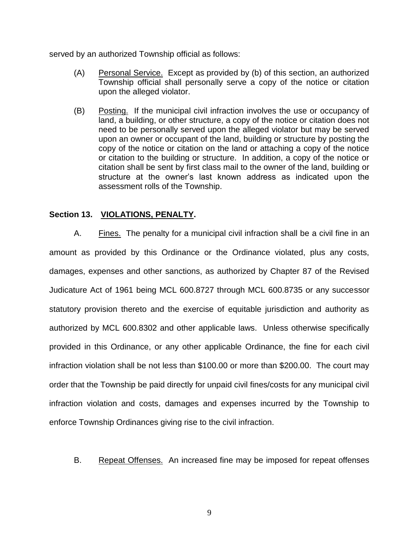served by an authorized Township official as follows:

- (A) Personal Service. Except as provided by (b) of this section, an authorized Township official shall personally serve a copy of the notice or citation upon the alleged violator.
- (B) Posting. If the municipal civil infraction involves the use or occupancy of land, a building, or other structure, a copy of the notice or citation does not need to be personally served upon the alleged violator but may be served upon an owner or occupant of the land, building or structure by posting the copy of the notice or citation on the land or attaching a copy of the notice or citation to the building or structure. In addition, a copy of the notice or citation shall be sent by first class mail to the owner of the land, building or structure at the owner's last known address as indicated upon the assessment rolls of the Township.

## **Section 13. VIOLATIONS, PENALTY.**

A. Fines. The penalty for a municipal civil infraction shall be a civil fine in an amount as provided by this Ordinance or the Ordinance violated, plus any costs, damages, expenses and other sanctions, as authorized by Chapter 87 of the Revised Judicature Act of 1961 being MCL 600.8727 through MCL 600.8735 or any successor statutory provision thereto and the exercise of equitable jurisdiction and authority as authorized by MCL 600.8302 and other applicable laws. Unless otherwise specifically provided in this Ordinance, or any other applicable Ordinance, the fine for each civil infraction violation shall be not less than \$100.00 or more than \$200.00. The court may order that the Township be paid directly for unpaid civil fines/costs for any municipal civil infraction violation and costs, damages and expenses incurred by the Township to enforce Township Ordinances giving rise to the civil infraction.

B. Repeat Offenses. An increased fine may be imposed for repeat offenses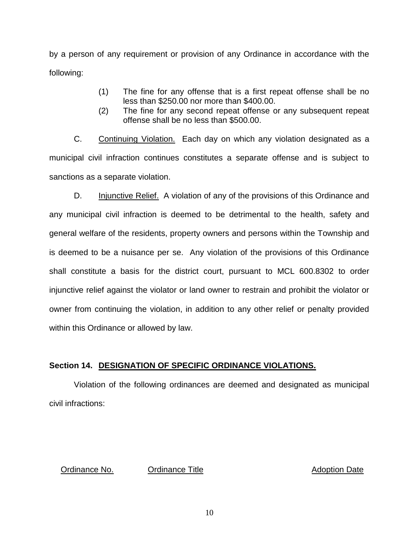by a person of any requirement or provision of any Ordinance in accordance with the following:

- (1) The fine for any offense that is a first repeat offense shall be no less than \$250.00 nor more than \$400.00.
- (2) The fine for any second repeat offense or any subsequent repeat offense shall be no less than \$500.00.

C. Continuing Violation. Each day on which any violation designated as a municipal civil infraction continues constitutes a separate offense and is subject to sanctions as a separate violation.

D. Injunctive Relief. A violation of any of the provisions of this Ordinance and any municipal civil infraction is deemed to be detrimental to the health, safety and general welfare of the residents, property owners and persons within the Township and is deemed to be a nuisance per se. Any violation of the provisions of this Ordinance shall constitute a basis for the district court, pursuant to MCL 600.8302 to order injunctive relief against the violator or land owner to restrain and prohibit the violator or owner from continuing the violation, in addition to any other relief or penalty provided within this Ordinance or allowed by law.

# **Section 14. DESIGNATION OF SPECIFIC ORDINANCE VIOLATIONS.**

Violation of the following ordinances are deemed and designated as municipal civil infractions:

Ordinance No. Cordinance Title **Adoption Date** Adoption Date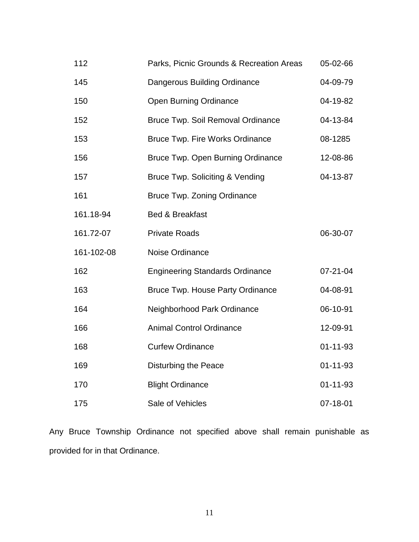| 112        | Parks, Picnic Grounds & Recreation Areas | 05-02-66       |
|------------|------------------------------------------|----------------|
| 145        | Dangerous Building Ordinance             | 04-09-79       |
| 150        | <b>Open Burning Ordinance</b>            | 04-19-82       |
| 152        | <b>Bruce Twp. Soil Removal Ordinance</b> | 04-13-84       |
| 153        | <b>Bruce Twp. Fire Works Ordinance</b>   | 08-1285        |
| 156        | Bruce Twp. Open Burning Ordinance        | 12-08-86       |
| 157        | Bruce Twp. Soliciting & Vending          | 04-13-87       |
| 161        | <b>Bruce Twp. Zoning Ordinance</b>       |                |
| 161.18-94  | Bed & Breakfast                          |                |
| 161.72-07  | <b>Private Roads</b>                     | 06-30-07       |
| 161-102-08 | Noise Ordinance                          |                |
| 162        | <b>Engineering Standards Ordinance</b>   | $07 - 21 - 04$ |
| 163        | <b>Bruce Twp. House Party Ordinance</b>  | 04-08-91       |
| 164        | Neighborhood Park Ordinance              | 06-10-91       |
| 166        | <b>Animal Control Ordinance</b>          | 12-09-91       |
| 168        | <b>Curfew Ordinance</b>                  | $01 - 11 - 93$ |
| 169        | Disturbing the Peace                     | $01 - 11 - 93$ |
| 170        | <b>Blight Ordinance</b>                  | $01 - 11 - 93$ |
| 175        | Sale of Vehicles                         | 07-18-01       |

Any Bruce Township Ordinance not specified above shall remain punishable as provided for in that Ordinance.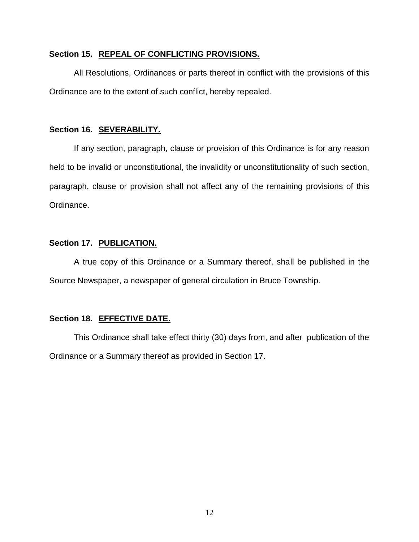### **Section 15. REPEAL OF CONFLICTING PROVISIONS.**

All Resolutions, Ordinances or parts thereof in conflict with the provisions of this Ordinance are to the extent of such conflict, hereby repealed.

### **Section 16. SEVERABILITY.**

If any section, paragraph, clause or provision of this Ordinance is for any reason held to be invalid or unconstitutional, the invalidity or unconstitutionality of such section, paragraph, clause or provision shall not affect any of the remaining provisions of this Ordinance.

### **Section 17. PUBLICATION.**

A true copy of this Ordinance or a Summary thereof, shall be published in the Source Newspaper, a newspaper of general circulation in Bruce Township.

### **Section 18. EFFECTIVE DATE.**

This Ordinance shall take effect thirty (30) days from, and after publication of the Ordinance or a Summary thereof as provided in Section 17.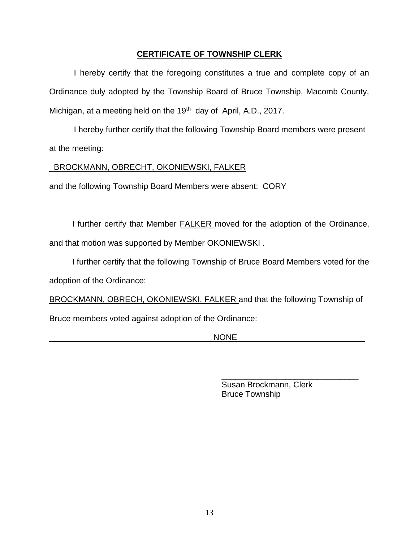## **CERTIFICATE OF TOWNSHIP CLERK**

I hereby certify that the foregoing constitutes a true and complete copy of an Ordinance duly adopted by the Township Board of Bruce Township, Macomb County, Michigan, at a meeting held on the 19<sup>th</sup> day of April, A.D., 2017.

I hereby further certify that the following Township Board members were present at the meeting:

## BROCKMANN, OBRECHT, OKONIEWSKI, FALKER

and the following Township Board Members were absent: CORY

I further certify that Member **FALKER** moved for the adoption of the Ordinance, and that motion was supported by Member OKONIEWSKI.

 I further certify that the following Township of Bruce Board Members voted for the adoption of the Ordinance:

BROCKMANN, OBRECH, OKONIEWSKI, FALKER and that the following Township of Bruce members voted against adoption of the Ordinance:

 $\texttt{NONE}$ 

Susan Brockmann, Clerk Bruce Township

\_\_\_\_\_\_\_\_\_\_\_\_\_\_\_\_\_\_\_\_\_\_\_\_\_\_\_\_\_\_